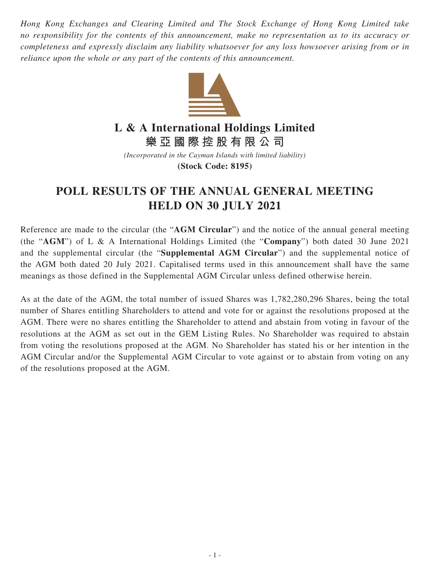*Hong Kong Exchanges and Clearing Limited and The Stock Exchange of Hong Kong Limited take no responsibility for the contents of this announcement, make no representation as to its accuracy or completeness and expressly disclaim any liability whatsoever for any loss howsoever arising from or in reliance upon the whole or any part of the contents of this announcement.*



## **L & A International Holdings Limited**

**樂亞國際控股有限公司**

*(Incorporated in the Cayman Islands with limited liability)* **(Stock Code: 8195)**

## **POLL RESULTS OF THE ANNUAL GENERAL MEETING HELD ON 30 JULY 2021**

Reference are made to the circular (the "**AGM Circular**") and the notice of the annual general meeting (the "**AGM**") of L & A International Holdings Limited (the "**Company**") both dated 30 June 2021 and the supplemental circular (the "**Supplemental AGM Circular**") and the supplemental notice of the AGM both dated 20 July 2021. Capitalised terms used in this announcement shall have the same meanings as those defined in the Supplemental AGM Circular unless defined otherwise herein.

As at the date of the AGM, the total number of issued Shares was 1,782,280,296 Shares, being the total number of Shares entitling Shareholders to attend and vote for or against the resolutions proposed at the AGM. There were no shares entitling the Shareholder to attend and abstain from voting in favour of the resolutions at the AGM as set out in the GEM Listing Rules. No Shareholder was required to abstain from voting the resolutions proposed at the AGM. No Shareholder has stated his or her intention in the AGM Circular and/or the Supplemental AGM Circular to vote against or to abstain from voting on any of the resolutions proposed at the AGM.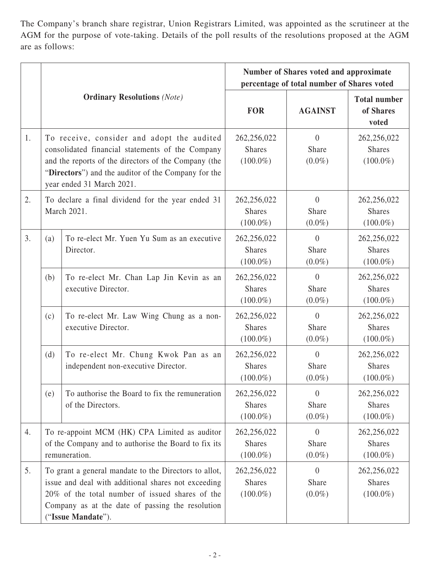The Company's branch share registrar, Union Registrars Limited, was appointed as the scrutineer at the AGM for the purpose of vote-taking. Details of the poll results of the resolutions proposed at the AGM are as follows:

|    | <b>Ordinary Resolutions</b> (Note)                                                                                                                                                                                                         |                                                                             | Number of Shares voted and approximate<br>percentage of total number of Shares voted |                                      |                                             |
|----|--------------------------------------------------------------------------------------------------------------------------------------------------------------------------------------------------------------------------------------------|-----------------------------------------------------------------------------|--------------------------------------------------------------------------------------|--------------------------------------|---------------------------------------------|
|    |                                                                                                                                                                                                                                            |                                                                             | <b>FOR</b>                                                                           | <b>AGAINST</b>                       | <b>Total number</b><br>of Shares<br>voted   |
| 1. | To receive, consider and adopt the audited<br>consolidated financial statements of the Company<br>and the reports of the directors of the Company (the<br>"Directors") and the auditor of the Company for the<br>year ended 31 March 2021. |                                                                             | 262,256,022<br><b>Shares</b><br>$(100.0\%)$                                          | $\theta$<br>Share<br>$(0.0\%)$       | 262,256,022<br><b>Shares</b><br>$(100.0\%)$ |
| 2. | To declare a final dividend for the year ended 31<br>March 2021.                                                                                                                                                                           |                                                                             | 262,256,022<br><b>Shares</b><br>$(100.0\%)$                                          | $\theta$<br>Share<br>$(0.0\%)$       | 262,256,022<br><b>Shares</b><br>$(100.0\%)$ |
| 3. | (a)                                                                                                                                                                                                                                        | To re-elect Mr. Yuen Yu Sum as an executive<br>Director.                    | 262,256,022<br><b>Shares</b><br>$(100.0\%)$                                          | $\theta$<br>Share<br>$(0.0\%)$       | 262,256,022<br><b>Shares</b><br>$(100.0\%)$ |
|    | (b)                                                                                                                                                                                                                                        | To re-elect Mr. Chan Lap Jin Kevin as an<br>executive Director.             | 262,256,022<br><b>Shares</b><br>$(100.0\%)$                                          | $\Omega$<br>Share<br>$(0.0\%)$       | 262,256,022<br><b>Shares</b><br>$(100.0\%)$ |
|    | (c)                                                                                                                                                                                                                                        | To re-elect Mr. Law Wing Chung as a non-<br>executive Director.             | 262,256,022<br><b>Shares</b><br>$(100.0\%)$                                          | $\theta$<br>Share<br>$(0.0\%)$       | 262,256,022<br><b>Shares</b><br>$(100.0\%)$ |
|    | (d)                                                                                                                                                                                                                                        | To re-elect Mr. Chung Kwok Pan as an<br>independent non-executive Director. | 262,256,022<br><b>Shares</b><br>$(100.0\%)$                                          | $\Omega$<br>Share<br>$(0.0\%)$       | 262,256,022<br><b>Shares</b><br>$(100.0\%)$ |
|    | (e)                                                                                                                                                                                                                                        | To authorise the Board to fix the remuneration<br>of the Directors.         | 262,256,022<br><b>Shares</b><br>$(100.0\%)$                                          | $\theta$<br>Share<br>$(0.0\%)$       | 262,256,022<br><b>Shares</b><br>$(100.0\%)$ |
| 4. | To re-appoint MCM (HK) CPA Limited as auditor<br>of the Company and to authorise the Board to fix its<br>remuneration.                                                                                                                     |                                                                             | 262,256,022<br><b>Shares</b><br>$(100.0\%)$                                          | $\overline{0}$<br>Share<br>$(0.0\%)$ | 262,256,022<br><b>Shares</b><br>$(100.0\%)$ |
| 5. | To grant a general mandate to the Directors to allot,<br>issue and deal with additional shares not exceeding<br>20% of the total number of issued shares of the<br>Company as at the date of passing the resolution<br>("Issue Mandate").  |                                                                             | 262,256,022<br><b>Shares</b><br>$(100.0\%)$                                          | $\Omega$<br>Share<br>$(0.0\%)$       | 262,256,022<br><b>Shares</b><br>$(100.0\%)$ |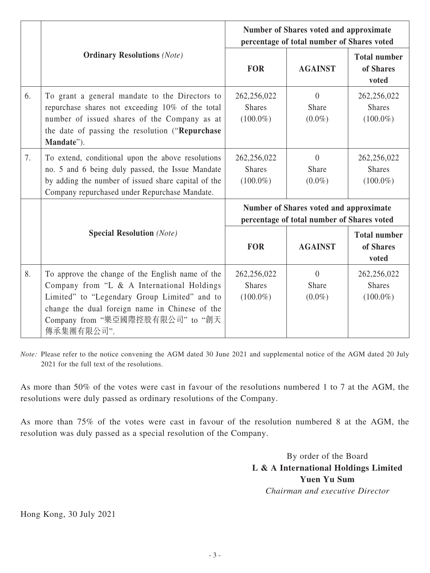|    |                                                                                                                                                                                                                                                    | <b>Number of Shares voted and approximate</b><br>percentage of total number of Shares voted |                                |                                             |
|----|----------------------------------------------------------------------------------------------------------------------------------------------------------------------------------------------------------------------------------------------------|---------------------------------------------------------------------------------------------|--------------------------------|---------------------------------------------|
|    | <b>Ordinary Resolutions (Note)</b>                                                                                                                                                                                                                 | <b>FOR</b>                                                                                  | <b>AGAINST</b>                 | <b>Total number</b><br>of Shares<br>voted   |
| 6. | To grant a general mandate to the Directors to<br>repurchase shares not exceeding 10% of the total<br>number of issued shares of the Company as at<br>the date of passing the resolution ("Repurchase<br>Mandate").                                | 262,256,022<br><b>Shares</b><br>$(100.0\%)$                                                 | $\theta$<br>Share<br>$(0.0\%)$ | 262,256,022<br><b>Shares</b><br>$(100.0\%)$ |
| 7. | To extend, conditional upon the above resolutions<br>no. 5 and 6 being duly passed, the Issue Mandate<br>by adding the number of issued share capital of the<br>Company repurchased under Repurchase Mandate.                                      | 262,256,022<br><b>Shares</b><br>$(100.0\%)$                                                 | $\theta$<br>Share<br>$(0.0\%)$ | 262,256,022<br><b>Shares</b><br>$(100.0\%)$ |
|    |                                                                                                                                                                                                                                                    | <b>Number of Shares voted and approximate</b><br>percentage of total number of Shares voted |                                |                                             |
|    | <b>Special Resolution</b> (Note)                                                                                                                                                                                                                   | <b>FOR</b>                                                                                  | <b>AGAINST</b>                 | <b>Total number</b><br>of Shares<br>voted   |
| 8. | To approve the change of the English name of the<br>Company from "L & A International Holdings<br>Limited" to "Legendary Group Limited" and to<br>change the dual foreign name in Chinese of the<br>Company from "樂亞國際控股有限公司" to "創天<br>傳承集團有限公司". | 262,256,022<br><b>Shares</b><br>$(100.0\%)$                                                 | $\theta$<br>Share<br>$(0.0\%)$ | 262,256,022<br><b>Shares</b><br>$(100.0\%)$ |

*Note:* Please refer to the notice convening the AGM dated 30 June 2021 and supplemental notice of the AGM dated 20 July 2021 for the full text of the resolutions.

As more than 50% of the votes were cast in favour of the resolutions numbered 1 to 7 at the AGM, the resolutions were duly passed as ordinary resolutions of the Company.

As more than 75% of the votes were cast in favour of the resolution numbered 8 at the AGM, the resolution was duly passed as a special resolution of the Company.

> By order of the Board **L & A International Holdings Limited Yuen Yu Sum** *Chairman and executive Director*

Hong Kong, 30 July 2021